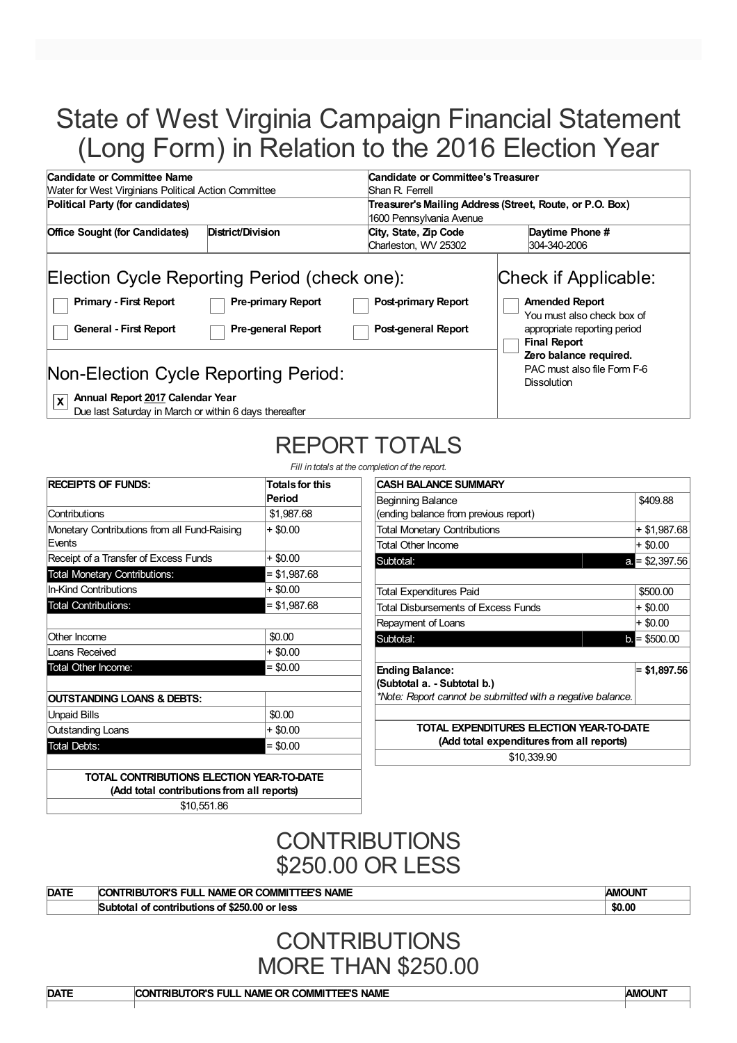# State of West Virginia Campaign Financial Statement (Long Form) in Relation to the 2016 Election Year

| Candidate or Committee Name                                                                                                                                                                                  |                                                        | Candidate or Committee's Treasurer                                                   |                                                                                                                                                                                                                   |  |  |
|--------------------------------------------------------------------------------------------------------------------------------------------------------------------------------------------------------------|--------------------------------------------------------|--------------------------------------------------------------------------------------|-------------------------------------------------------------------------------------------------------------------------------------------------------------------------------------------------------------------|--|--|
| <b>Water for West Virginians Political Action Committee</b>                                                                                                                                                  |                                                        | Shan R. Ferrell                                                                      |                                                                                                                                                                                                                   |  |  |
| Political Party (for candidates)                                                                                                                                                                             |                                                        | Treasurer's Mailing Address (Street, Route, or P.O. Box)<br>1600 Pennsylvania Avenue |                                                                                                                                                                                                                   |  |  |
| <b>Office Sought (for Candidates)</b>                                                                                                                                                                        | District/Division                                      | Daytime Phone #<br>City, State, Zip Code<br>Charleston, WV 25302<br>304-340-2006     |                                                                                                                                                                                                                   |  |  |
| Election Cycle Reporting Period (check one):<br><b>Primary - First Report</b><br><b>General - First Report</b><br>Non-Election Cycle Reporting Period:<br>Annual Report 2017 Calendar Year<br>$ \mathbf{x} $ | <b>Pre-primary Report</b><br><b>Pre-general Report</b> | <b>Post-primary Report</b><br>Post-general Report                                    | Check if Applicable:<br><b>Amended Report</b><br>You must also check box of<br>appropriate reporting period<br><b>Final Report</b><br>Zero balance required.<br>PAC must also file Form F-6<br><b>Dissolution</b> |  |  |

Due last Saturday in March or within 6 days thereafter

# REPORT TOTALS

*Fill in totals at the completion of the reports* 

| <b>RECEIPTS OF FUNDS:</b>                              | <b>Totals for this</b><br>Period |
|--------------------------------------------------------|----------------------------------|
| Contributions                                          | \$1,987.68                       |
| Monetary Contributions from all Fund-Raising<br>Events | + \$0.00                         |
| Receipt of a Transfer of Excess Funds                  | + \$0.00                         |
| <b>Total Monetary Contributions:</b>                   | $=$ \$1,987.68                   |
| <b>In-Kind Contributions</b>                           | + \$0.00                         |
| <b>Total Contributions:</b>                            | $=$ \$1,987.68                   |
| Other Income                                           | \$0.00                           |
| Loans Received                                         | + \$0.00                         |
| Total Other Income:                                    | $= $0.00$                        |
| OUTSTANDING LOANS & DEBTS:                             |                                  |
| <b>Unpaid Bills</b>                                    | \$0.00                           |
| <b>Outstanding Loans</b>                               | $+$ \$0.00                       |
| <b>Total Debts:</b>                                    | $= $0.00$                        |

| detion of the report.                                      |                 |  |  |
|------------------------------------------------------------|-----------------|--|--|
| <b>CASH BALANCE SUMMARY</b>                                |                 |  |  |
| Beginning Balance                                          | \$409.88        |  |  |
| (ending balance from previous report)                      |                 |  |  |
| <b>Total Monetary Contributions</b>                        | + \$1,987.68    |  |  |
| <b>Total Other Income</b>                                  | + \$0.00        |  |  |
| Subtotal:                                                  | $a = $2,397.56$ |  |  |
|                                                            |                 |  |  |
| Total Expenditures Paid                                    | \$500.00        |  |  |
| Total Disbursements of Excess Funds                        | $+$ \$0.00      |  |  |
| Repayment of Loans                                         | + \$0.00        |  |  |
| Subtotal:                                                  | $b = $500.00$   |  |  |
|                                                            |                 |  |  |
| <b>Ending Balance:</b>                                     | $= $1,897.56$   |  |  |
| (Subtotal a. - Subtotal b.)                                |                 |  |  |
| *Note: Report cannot be submitted with a negative balance. |                 |  |  |
|                                                            |                 |  |  |
| TOTAL EXPENDITURES ELECTION YEAR-TO-DATE                   |                 |  |  |
| (Add total expenditures from all reports)                  |                 |  |  |
|                                                            |                 |  |  |

\$10,339.90

**TOTAL CONTRIBUTIONS ELECTION YEAR-TO-DATE (Add total contributions from all reports)** \$10,551.86

> **CONTRIBUTIONS** \$250.00 OR LESS

| <b>DATE</b> | <b>AMOUNT</b><br><b>NAME</b><br>ΊШ<br>∴COMMI™<br><b>NAML</b><br>ີ |        |
|-------------|-------------------------------------------------------------------|--------|
|             | less<br>or<br>-                                                   | \$0.00 |
|             |                                                                   |        |

### **CONTRIBUTIONS** MORE THAN \$250.00

**DATE CONTRIBUTOR'S FULL NAME OR COMMITTEE'S NAME AMOUNT**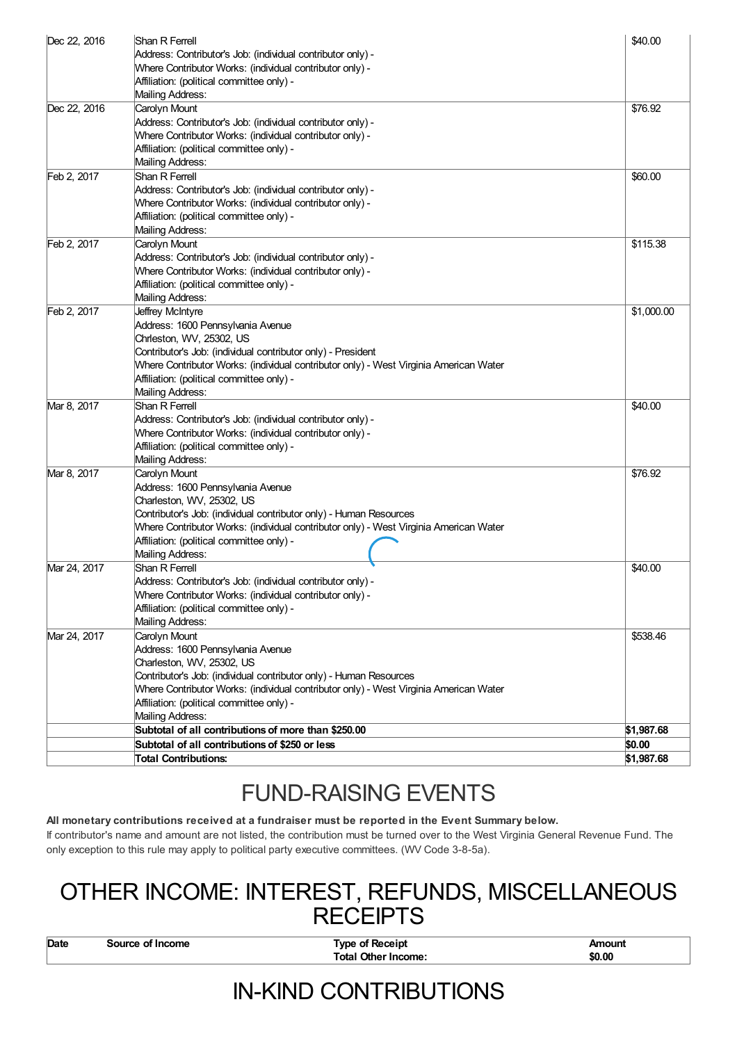| Dec 22, 2016 | Shan R Ferrell<br>Address: Contributor's Job: (individual contributor only) -<br>Where Contributor Works: (individual contributor only) -                                                                                                                                                                       | \$40.00    |
|--------------|-----------------------------------------------------------------------------------------------------------------------------------------------------------------------------------------------------------------------------------------------------------------------------------------------------------------|------------|
|              | Affiliation: (political committee only) -<br>Mailing Address:                                                                                                                                                                                                                                                   |            |
| Dec 22, 2016 | Carolyn Mount<br>Address: Contributor's Job: (individual contributor only) -<br>Where Contributor Works: (individual contributor only) -<br>Affiliation: (political committee only) -<br>Mailing Address:                                                                                                       | \$76.92    |
| Feb 2, 2017  | Shan R Ferrell<br>Address: Contributor's Job: (individual contributor only) -<br>Where Contributor Works: (individual contributor only) -<br>Affiliation: (political committee only) -<br>Mailing Address:                                                                                                      | \$60.00    |
| Feb 2, 2017  | Carolyn Mount<br>Address: Contributor's Job: (individual contributor only) -<br>Where Contributor Works: (individual contributor only) -<br>Affiliation: (political committee only) -<br>Mailing Address:                                                                                                       | \$115.38   |
| Feb 2, 2017  | Jeffrey McIntyre<br>Address: 1600 Pennsylvania Avenue<br>Chrleston, WV, 25302, US<br>Contributor's Job: (individual contributor only) - President<br>Where Contributor Works: (individual contributor only) - West Virginia American Water<br>Affiliation: (political committee only) -<br>Mailing Address:     | \$1,000.00 |
| Mar 8, 2017  | Shan R Ferrell<br>Address: Contributor's Job: (individual contributor only) -<br>Where Contributor Works: (individual contributor only) -<br>Affiliation: (political committee only) -<br>Mailing Address:                                                                                                      | \$40.00    |
| Mar 8, 2017  | Carolyn Mount<br>Address: 1600 Pennsylvania Avenue<br>Charleston, WV, 25302, US<br>Contributor's Job: (individual contributor only) - Human Resources<br>Where Contributor Works: (individual contributor only) - West Virginia American Water<br>Affiliation: (political committee only) -<br>Mailing Address: | \$76.92    |
| Mar 24, 2017 | Shan R Ferrell<br>Address: Contributor's Job: (individual contributor only) -<br>Where Contributor Works: (individual contributor only) -<br>Affiliation: (political committee only) -<br>Mailing Address:                                                                                                      | \$40.00    |
| Mar 24, 2017 | Carolyn Mount<br>Address: 1600 Pennsylvania Avenue<br>Charleston, WV, 25302, US<br>Contributor's Job: (individual contributor only) - Human Resources<br>Where Contributor Works: (individual contributor only) - West Virginia American Water<br>Affiliation: (political committee only) -<br>Mailing Address: | \$538.46   |
|              | Subtotal of all contributions of more than \$250.00                                                                                                                                                                                                                                                             | \$1,987.68 |
|              | Subtotal of all contributions of \$250 or less                                                                                                                                                                                                                                                                  | \$0.00     |
|              | <b>Total Contributions:</b>                                                                                                                                                                                                                                                                                     | \$1,987.68 |

## FUND-RAISING EVENTS

#### **All monetary contributions received at a fundraiser must be reported in the Event Summary below.**

If contributor's name and amount are not listed, the contribution must be turned over to the West Virginia General Revenue Fund. The only exception to this rule may apply to political party executive committees. (WV Code 3-8-5a).

### OTHER INCOME: INTEREST, REFUNDS, MISCELLANEOUS **RECEIPTS**

**Date Source of Income Type of Receipt Amount COMEX 10 COMEX 10 COMEX 10 COMEX 10 COMEX 10 COMEX 10 COMEX 10 COMEX 10 COMEX 10 COMEX 10 COMEX 10 COMEX 10 COMEX 10 COMEX 10 COMEX 10 COM**  $Total Other Income:$ 

## IN-KIND CONTRIBUTIONS